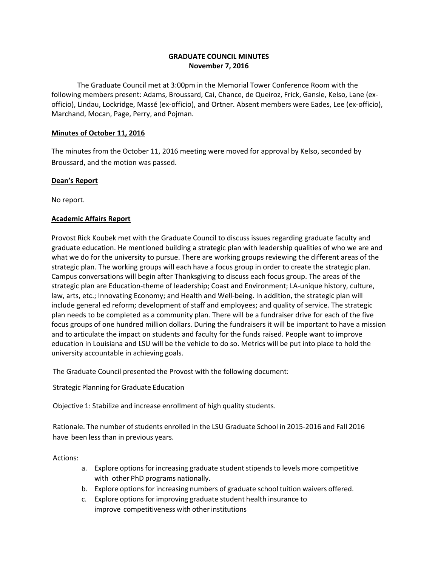# **GRADUATE COUNCIL MINUTESNovember 7, 2016**

The Graduate Council met at 3:00pm in the Memorial Tower Conference Room with the following members present: Adams, Broussard, Cai, Chance, de Queiroz, Frick, Gansle, Kelso, Lane (exofficio), Lindau, Lockridge, Massé (ex-officio), and Ortner. Absent members were Eades, Lee (ex-officio), Marchand, Mocan, Page, Perry, and Pojman.

## **Minutes of October 11, 2016**

The minutes from the October 11, 2016 meeting were moved for approval by Kelso, seconded by Broussard, and the motion was passed.

# **Dean's Report**

No report.

# **Academic Affairs Report**

Provost Rick Koubek met with the Graduate Council to discuss issues regarding graduate faculty and graduate education. He mentioned building a strategic plan with leadership qualities of who we are and what we do for the university to pursue. There are working groups reviewing the different areas of the strategic plan. The working groups will each have a focus group in order to create the strategic plan. Campus conversations will begin after Thanksgiving to discuss each focus group. The areas of the strategic plan are Education-theme of leadership; Coast and Environment; LA-unique history, culture, law, arts, etc.; Innovating Economy; and Health and Well-being. In addition, the strategic plan will include general ed reform; development of staff and employees; and quality of service. The strategic plan needs to be completed as a community plan. There will be a fundraiser drive for each of the five focus groups of one hundred million dollars. During the fundraisers it will be important to have a mission and to articulate the impact on students and faculty for the funds raised. People want to improve education in Louisiana and LSU will be the vehicle to do so. Metrics will be put into place to hold the university accountable in achieving goals.

The Graduate Council presented the Provost with the following document:

Strategic Planning for Graduate Education

Objective 1: Stabilize and increase enrollment of high quality students.

 Rationale. The number of students enrolled in the LSU Graduate School in 2015-2016 and Fall 2016 have been less than in previous years.

Actions:

- a. Explore options for increasing graduate student stipends to levels more competitive with other PhD programs nationally.
- b. Explore options for increasing numbers of graduate school tuition waivers offered.
- c. Explore options for improving graduate student health insurance to improve competitiveness with other institutions improve competitiveness with other institutions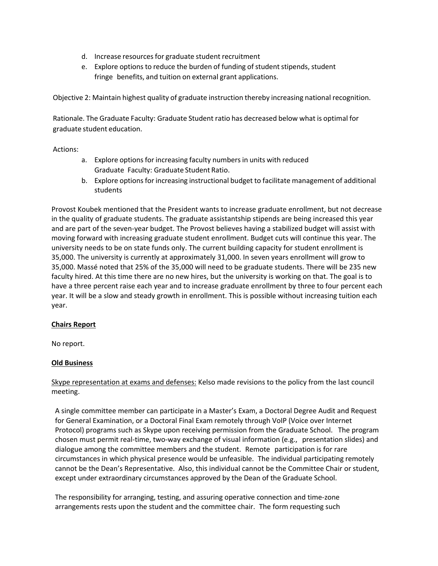- d. Increase resources for graduate student recruitment
- e. Explore options to reduce the burden of funding of student stipends, student fringe benefits, and tuition on external grant applications.

Objective 2: Maintain highest quality of graduate instruction thereby increasing national recognition.

 Rationale. The Graduate Faculty: Graduate Student ratio has decreased below what is optimal for graduate student education.

Actions:

- Explore options for increasing faculty numbers in units with reduced Graduate Faculty: Graduate Student Ratio. a. Explore options for increasing faculty numbers in units with reduced<br>Graduate Faculty: Graduate Student Ratio.<br>b. Explore options for increasing instructional budget to facilitate management of additional
- students

Provost Koubek mentioned that the President wants to increase graduate enrollment, but not decrease in the quality of graduate students. The graduate assistantship stipends are being increased this year and are part of the seven-year budget. The Provost believes having a stabilized budget will assist with moving forward with increasing graduate student enrollment. Budget cuts will continue this year. The university needs to be on state funds only. The current building capacity for student enrollment is 35,000. The university is currently at approximately 31,000. In seven years enrollment will grow to 35,000. Massé noted that 25% of the 35,000 will need to be graduate students. There will be 235 new faculty hired. At this time there are no new hires, but the university is working on that. The goal is to have a three percent raise each year and to increase graduate enrollment by three to four percent each year. It will be a slow and steady growth in enrollment. This is possible without increasing tuition each year.

# **Chairs Report**

No report.

## **Old Business**

Skype representation at exams and defenses: Kelso made revisions to the policy from the last council meeting.

 chosen must permit real-time, two-way exchange of visual information (e.g., presentation slides) and cannot be the Dean's Representative. Also, this individual cannot be the Committee Chair or student, A single committee member can participate in a Master's Exam, a Doctoral Degree Audit and Request for General Examination, or a Doctoral Final Exam remotely through VoIP (Voice over Internet Protocol) programs such as Skype upon receiving permission from the Graduate School. The program dialogue among the committee members and the student. Remote participation is for rare circumstances in which physical presence would be unfeasible. The individual participating remotely except under extraordinary circumstances approved by the Dean of the Graduate School.

The responsibility for arranging, testing, and assuring operative connection and time-zone arrangements rests upon the student and the committee chair. The form requesting such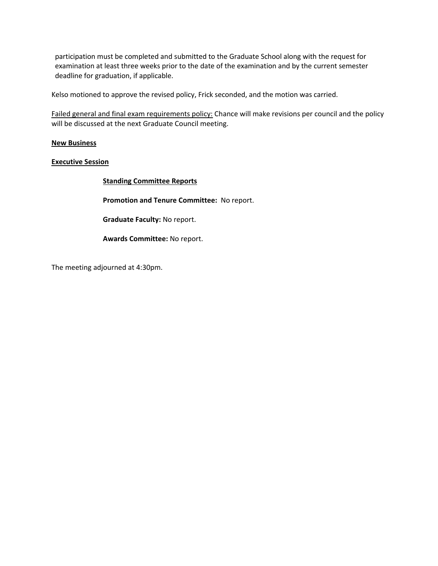examination at least three weeks prior to the date of the examination and by the current semester<br>deadline for graduation, if applicable. participation must be completed and submitted to the Graduate School along with the request for

Kelso motioned to approve the revised policy, Frick seconded, and the motion was carried.

Failed general and final exam requirements policy: Chance will make revisions per council and the policy will be discussed at the next Graduate Council meeting.

### **New Business**

### **Executive Session**

**Standing Committee Reports** 

**Promotion and Tenure Committee:** No report.

**Graduate Faculty:** No report.

**Awards Committee:** No report.

The meeting adjourned at 4:30pm.